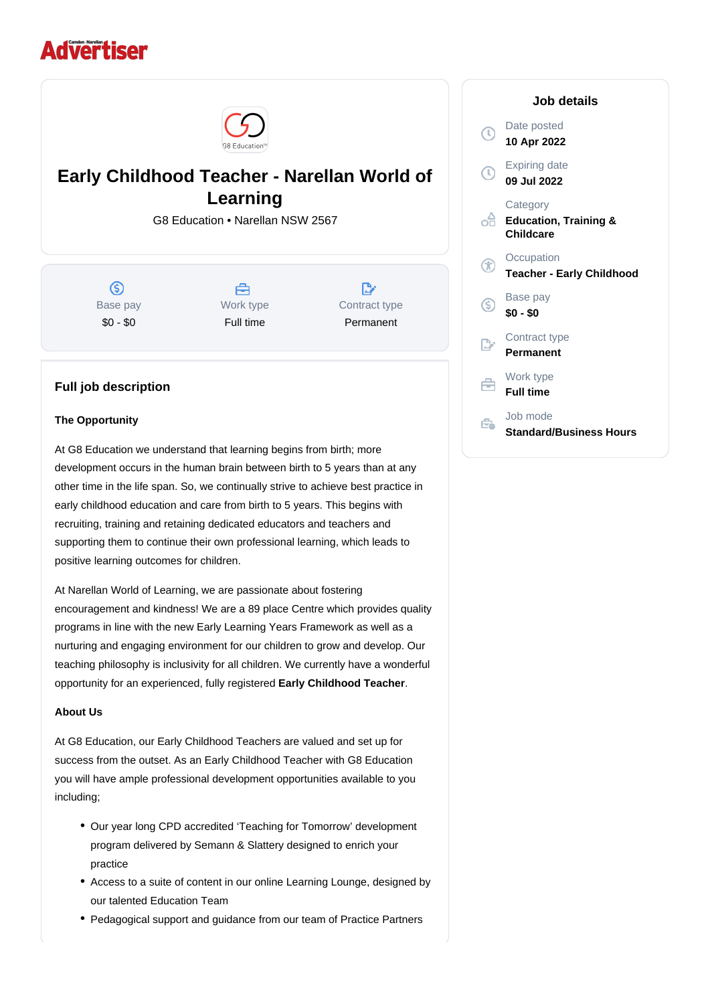# **Advertiser**



## **Early Childhood Teacher - Narellan World of Learning**

G8 Education • Narellan NSW 2567

 $\circ$ Base pay \$0 - \$0

A Work type Full time

 $\mathbb{R}^*$ Contract type Permanent

### **Full job description**

#### **The Opportunity**

At G8 Education we understand that learning begins from birth; more development occurs in the human brain between birth to 5 years than at any other time in the life span. So, we continually strive to achieve best practice in early childhood education and care from birth to 5 years. This begins with recruiting, training and retaining dedicated educators and teachers and supporting them to continue their own professional learning, which leads to positive learning outcomes for children.

At Narellan World of Learning, we are passionate about fostering encouragement and kindness! We are a 89 place Centre which provides quality programs in line with the new Early Learning Years Framework as well as a nurturing and engaging environment for our children to grow and develop. Our teaching philosophy is inclusivity for all children. We currently have a wonderful opportunity for an experienced, fully registered **Early Childhood Teacher**.

#### **About Us**

At G8 Education, our Early Childhood Teachers are valued and set up for success from the outset. As an Early Childhood Teacher with G8 Education you will have ample professional development opportunities available to you including;

- Our year long CPD accredited 'Teaching for Tomorrow' development program delivered by Semann & Slattery designed to enrich your practice
- Access to a suite of content in our online Learning Lounge, designed by our talented Education Team
- Pedagogical support and guidance from our team of Practice Partners

|    | Job details                                                      |
|----|------------------------------------------------------------------|
|    | Date posted<br>10 Apr 2022                                       |
|    | <b>Expiring date</b><br>09 Jul 2022                              |
| oâ | Category<br><b>Education, Training &amp;</b><br><b>Childcare</b> |
|    | Occupation<br><b>Teacher - Early Childhood</b>                   |
| G  | Base pay<br>$$0 - $0$                                            |
|    | Contract type<br>Permanent                                       |
|    | Work type<br><b>Full time</b>                                    |
|    | Job mode<br><b>Standard/Business Hours</b>                       |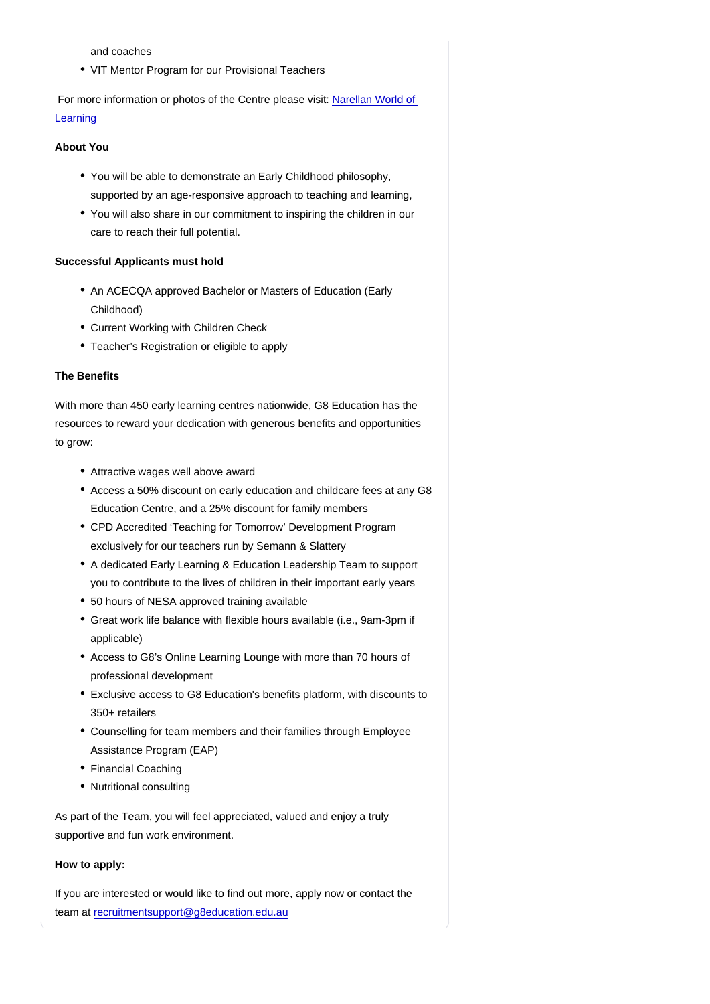and coaches

• VIT Mentor Program for our Provisional Teachers

 For more information or photos of the Centre please visit: [Narellan World of](https://www.worldoflearning.com.au/childcare-narellan)  [Learning](https://www.worldoflearning.com.au/childcare-narellan)

About You

- You will be able to demonstrate an Early Childhood philosophy, supported by an age-responsive approach to teaching and learning,
- You will also share in our commitment to inspiring the children in our care to reach their full potential.

Successful Applicants must hold

- An ACECQA approved Bachelor or Masters of Education (Early Childhood)
- Current Working with Children Check
- Teacher's Registration or eligible to apply

#### The Benefits

With more than 450 early learning centres nationwide, G8 Education has the resources to reward your dedication with generous benefits and opportunities to grow:

- Attractive wages well above award
- Access a 50% discount on early education and childcare fees at any G8 Education Centre, and a 25% discount for family members
- CPD Accredited 'Teaching for Tomorrow' Development Program exclusively for our teachers run by Semann & Slattery
- A dedicated Early Learning & Education Leadership Team to support you to contribute to the lives of children in their important early years
- 50 hours of NESA approved training available
- Great work life balance with flexible hours available (i.e., 9am-3pm if applicable)
- Access to G8's Online Learning Lounge with more than 70 hours of professional development
- Exclusive access to G8 Education's benefits platform, with discounts to 350+ retailers
- Counselling for team members and their families through Employee Assistance Program (EAP)
- Financial Coaching
- Nutritional consulting

As part of the Team, you will feel appreciated, valued and enjoy a truly supportive and fun work environment.

How to apply:

If you are interested or would like to find out more, apply now or contact the team at [recruitmentsupport@g8education.edu.au](mailto:recruitmentsupport@g8education.edu.au)